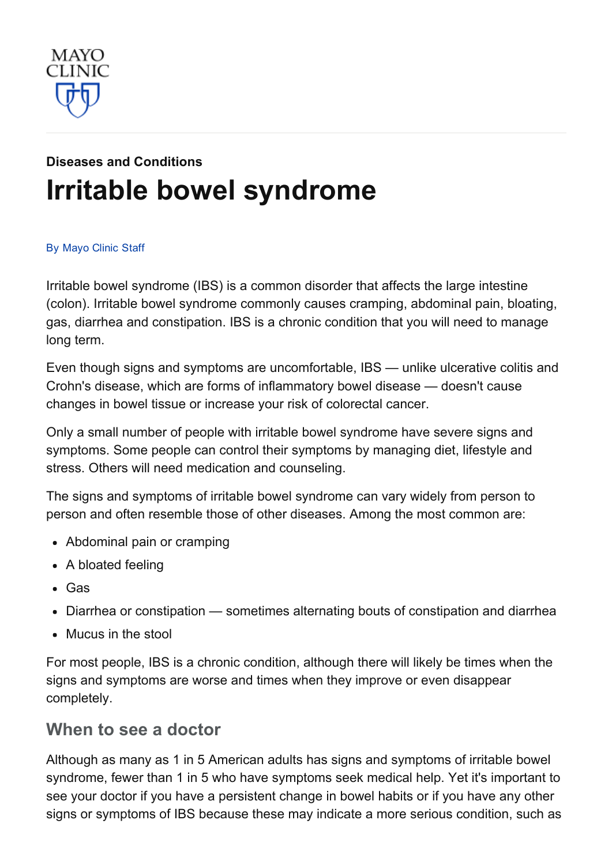

# Diseases and [Conditions](http://www.mayoclinic.org/diseases-conditions) Irritable bowel [syndrome](http://www.mayoclinic.org/diseases-conditions/irritable-bowel-syndrome/basics/definition/con-20024578)

#### By [Mayo](http://www.mayoclinic.org/about-this-site/welcome) Clinic Staff

Irritable bowel syndrome (IBS) is a common disorder that affects the large intestine (colon). Irritable bowel syndrome commonly causes cramping, abdominal pain, bloating, gas, diarrhea and constipation. IBS is a chronic condition that you will need to manage long term.

Even though signs and symptoms are uncomfortable, IBS — unlike ulcerative colitis and Crohn's disease, which are forms of inflammatory bowel disease — doesn't cause changes in bowel tissue or increase your risk of colorectal cancer.

Only a small number of people with irritable bowel syndrome have severe signs and symptoms. Some people can control their symptoms by managing diet, lifestyle and stress. Others will need medication and counseling.

The signs and symptoms of irritable bowel syndrome can vary widely from person to person and often resemble those of other diseases. Among the most common are:

- Abdominal pain or cramping
- A bloated feeling
- Gas
- Diarrhea or constipation sometimes alternating bouts of constipation and diarrhea
- Mucus in the stool

For most people, IBS is a chronic condition, although there will likely be times when the signs and symptoms are worse and times when they improve or even disappear completely.

#### When to see a doctor

Although as many as 1 in 5 American adults has signs and symptoms of irritable bowel syndrome, fewer than 1 in 5 who have symptoms seek medical help. Yet it's important to see your doctor if you have a persistent change in bowel habits or if you have any other signs or symptoms of IBS because these may indicate a more serious condition, such as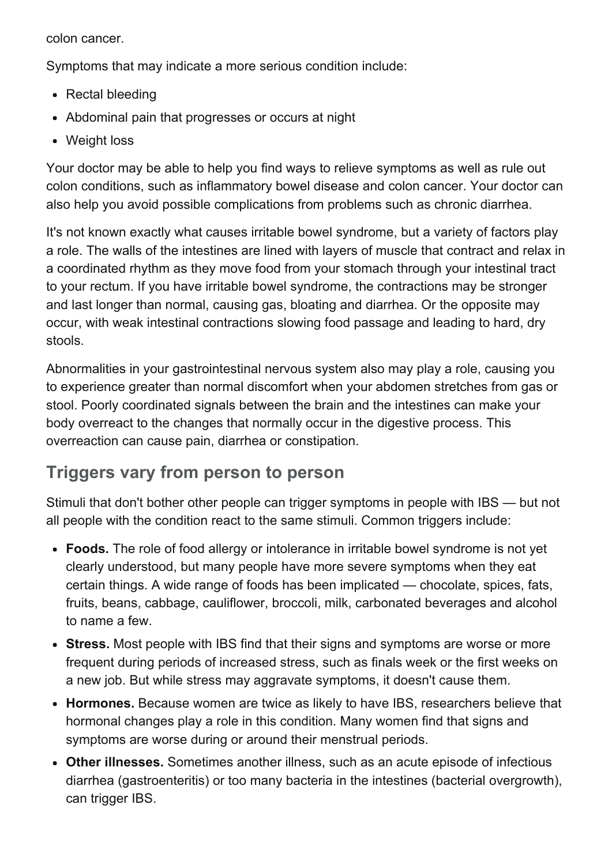colon cancer.

Symptoms that may indicate a more serious condition include:

- Rectal bleeding
- Abdominal pain that progresses or occurs at night
- Weight loss

Your doctor may be able to help you find ways to relieve symptoms as well as rule out colon conditions, such as inflammatory bowel disease and colon cancer. Your doctor can also help you avoid possible complications from problems such as chronic diarrhea.

It's not known exactly what causes irritable bowel syndrome, but a variety of factors play a role. The walls of the intestines are lined with layers of muscle that contract and relax in a coordinated rhythm as they move food from your stomach through your intestinal tract to your rectum. If you have irritable bowel syndrome, the contractions may be stronger and last longer than normal, causing gas, bloating and diarrhea. Or the opposite may occur, with weak intestinal contractions slowing food passage and leading to hard, dry stools.

Abnormalities in your gastrointestinal nervous system also may play a role, causing you to experience greater than normal discomfort when your abdomen stretches from gas or stool. Poorly coordinated signals between the brain and the intestines can make your body overreact to the changes that normally occur in the digestive process. This overreaction can cause pain, diarrhea or constipation.

# Triggers vary from person to person

Stimuli that don't bother other people can trigger symptoms in people with IBS — but not all people with the condition react to the same stimuli. Common triggers include:

- Foods. The role of food allergy or intolerance in irritable bowel syndrome is not yet clearly understood, but many people have more severe symptoms when they eat certain things. A wide range of foods has been implicated — chocolate, spices, fats, fruits, beans, cabbage, cauliflower, broccoli, milk, carbonated beverages and alcohol to name a few.
- Stress. Most people with IBS find that their signs and symptoms are worse or more frequent during periods of increased stress, such as finals week or the first weeks on a new job. But while stress may aggravate symptoms, it doesn't cause them.
- Hormones. Because women are twice as likely to have IBS, researchers believe that hormonal changes play a role in this condition. Many women find that signs and symptoms are worse during or around their menstrual periods.
- Other illnesses. Sometimes another illness, such as an acute episode of infectious diarrhea (gastroenteritis) or too many bacteria in the intestines (bacterial overgrowth), can trigger IBS.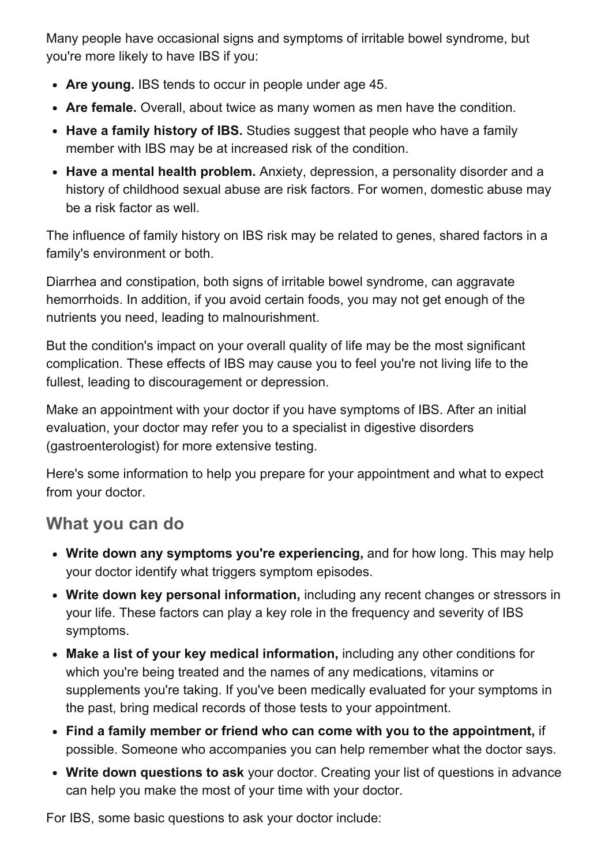Many people have occasional signs and symptoms of irritable bowel syndrome, but you're more likely to have IBS if you:

- Are young. IBS tends to occur in people under age 45.
- Are female. Overall, about twice as many women as men have the condition.
- Have a family history of IBS. Studies suggest that people who have a family member with IBS may be at increased risk of the condition.
- Have a mental health problem. Anxiety, depression, a personality disorder and a history of childhood sexual abuse are risk factors. For women, domestic abuse may be a risk factor as well.

The influence of family history on IBS risk may be related to genes, shared factors in a family's environment or both.

Diarrhea and constipation, both signs of irritable bowel syndrome, can aggravate hemorrhoids. In addition, if you avoid certain foods, you may not get enough of the nutrients you need, leading to malnourishment.

But the condition's impact on your overall quality of life may be the most significant complication. These effects of IBS may cause you to feel you're not living life to the fullest, leading to discouragement or depression.

Make an appointment with your doctor if you have symptoms of IBS. After an initial evaluation, your doctor may refer you to a specialist in digestive disorders (gastroenterologist) for more extensive testing.

Here's some information to help you prepare for your appointment and what to expect from your doctor.

# What you can do

- Write down any symptoms you're experiencing, and for how long. This may help your doctor identify what triggers symptom episodes.
- Write down key personal information, including any recent changes or stressors in your life. These factors can play a key role in the frequency and severity of IBS symptoms.
- Make a list of your key medical information, including any other conditions for which you're being treated and the names of any medications, vitamins or supplements you're taking. If you've been medically evaluated for your symptoms in the past, bring medical records of those tests to your appointment.
- Find a family member or friend who can come with you to the appointment, if possible. Someone who accompanies you can help remember what the doctor says.
- Write down questions to ask your doctor. Creating your list of questions in advance can help you make the most of your time with your doctor.

For IBS, some basic questions to ask your doctor include: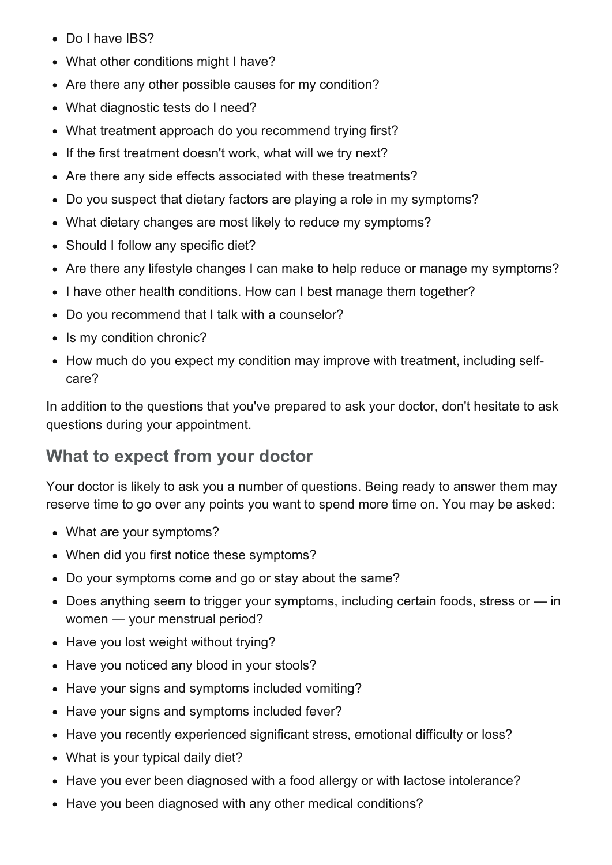- Do I have IBS?
- What other conditions might I have?  $\bullet$
- Are there any other possible causes for my condition?
- What diagnostic tests do I need?
- What treatment approach do you recommend trying first?
- If the first treatment doesn't work, what will we try next?
- Are there any side effects associated with these treatments?
- Do you suspect that dietary factors are playing a role in my symptoms?  $\bullet$
- What dietary changes are most likely to reduce my symptoms?
- Should I follow any specific diet?  $\bullet$
- Are there any lifestyle changes I can make to help reduce or manage my symptoms?
- I have other health conditions. How can I best manage them together?  $\bullet$
- Do you recommend that I talk with a counselor?  $\bullet$
- Is my condition chronic?
- How much do you expect my condition may improve with treatment, including selfcare?

In addition to the questions that you've prepared to ask your doctor, don't hesitate to ask questions during your appointment.

## What to expect from your doctor

Your doctor is likely to ask you a number of questions. Being ready to answer them may reserve time to go over any points you want to spend more time on. You may be asked:

- What are your symptoms?
- When did you first notice these symptoms?
- Do your symptoms come and go or stay about the same?
- Does anything seem to trigger your symptoms, including certain foods, stress or in women — your menstrual period?
- Have you lost weight without trying?
- Have you noticed any blood in your stools?
- Have your signs and symptoms included vomiting?
- Have your signs and symptoms included fever?
- Have you recently experienced significant stress, emotional difficulty or loss?
- What is your typical daily diet?
- Have you ever been diagnosed with a food allergy or with lactose intolerance?
- Have you been diagnosed with any other medical conditions?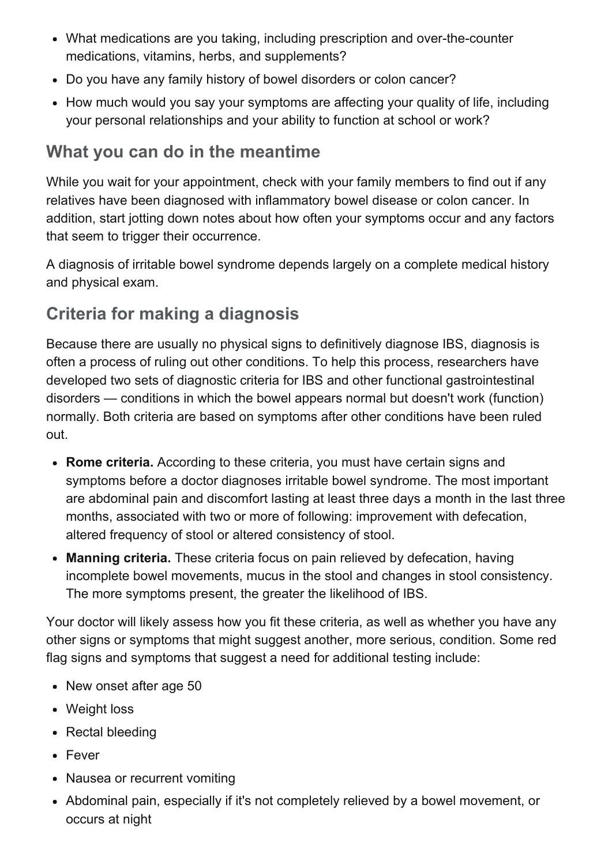- What medications are you taking, including prescription and over-the-counter medications, vitamins, herbs, and supplements?
- Do you have any family history of bowel disorders or colon cancer?
- How much would you say your symptoms are affecting your quality of life, including your personal relationships and your ability to function at school or work?

# What you can do in the meantime

While you wait for your appointment, check with your family members to find out if any relatives have been diagnosed with inflammatory bowel disease or colon cancer. In addition, start jotting down notes about how often your symptoms occur and any factors that seem to trigger their occurrence.

A diagnosis of irritable bowel syndrome depends largely on a complete medical history and physical exam.

# Criteria for making a diagnosis

Because there are usually no physical signs to definitively diagnose IBS, diagnosis is often a process of ruling out other conditions. To help this process, researchers have developed two sets of diagnostic criteria for IBS and other functional gastrointestinal disorders — conditions in which the bowel appears normal but doesn't work (function) normally. Both criteria are based on symptoms after other conditions have been ruled out.

- Rome criteria. According to these criteria, you must have certain signs and symptoms before a doctor diagnoses irritable bowel syndrome. The most important are abdominal pain and discomfort lasting at least three days a month in the last three months, associated with two or more of following: improvement with defecation, altered frequency of stool or altered consistency of stool.
- Manning criteria. These criteria focus on pain relieved by defecation, having incomplete bowel movements, mucus in the stool and changes in stool consistency. The more symptoms present, the greater the likelihood of IBS.

Your doctor will likely assess how you fit these criteria, as well as whether you have any other signs or symptoms that might suggest another, more serious, condition. Some red flag signs and symptoms that suggest a need for additional testing include:

- New onset after age 50
- Weight loss
- Rectal bleeding
- Fever
- Nausea or recurrent vomiting
- Abdominal pain, especially if it's not completely relieved by a bowel movement, or occurs at night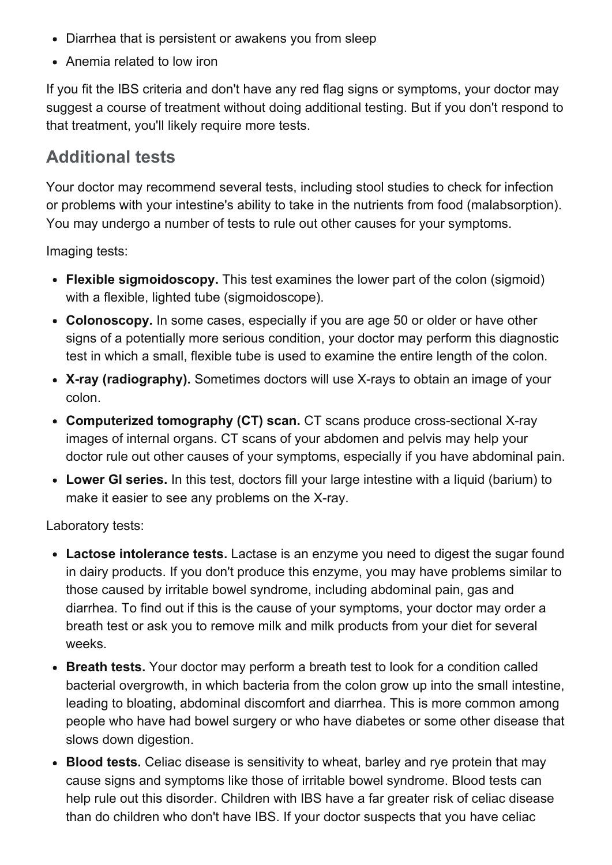- Diarrhea that is persistent or awakens you from sleep
- Anemia related to low iron

If you fit the IBS criteria and don't have any red flag signs or symptoms, your doctor may suggest a course of treatment without doing additional testing. But if you don't respond to that treatment, you'll likely require more tests.

## Additional tests

Your doctor may recommend several tests, including stool studies to check for infection or problems with your intestine's ability to take in the nutrients from food (malabsorption). You may undergo a number of tests to rule out other causes for your symptoms.

Imaging tests:

- Flexible sigmoidoscopy. This test examines the lower part of the colon (sigmoid) with a flexible, lighted tube (sigmoidoscope).
- Colonoscopy. In some cases, especially if you are age 50 or older or have other signs of a potentially more serious condition, your doctor may perform this diagnostic test in which a small, flexible tube is used to examine the entire length of the colon.
- X-ray (radiography). Sometimes doctors will use X-rays to obtain an image of your colon.
- Computerized tomography (CT) scan. CT scans produce cross-sectional X-ray images of internal organs. CT scans of your abdomen and pelvis may help your doctor rule out other causes of your symptoms, especially if you have abdominal pain.
- Lower GI series. In this test, doctors fill your large intestine with a liquid (barium) to make it easier to see any problems on the X-ray.

Laboratory tests:

- Lactose intolerance tests. Lactase is an enzyme you need to digest the sugar found in dairy products. If you don't produce this enzyme, you may have problems similar to those caused by irritable bowel syndrome, including abdominal pain, gas and diarrhea. To find out if this is the cause of your symptoms, your doctor may order a breath test or ask you to remove milk and milk products from your diet for several weeks.
- Breath tests. Your doctor may perform a breath test to look for a condition called bacterial overgrowth, in which bacteria from the colon grow up into the small intestine, leading to bloating, abdominal discomfort and diarrhea. This is more common among people who have had bowel surgery or who have diabetes or some other disease that slows down digestion.
- Blood tests. Celiac disease is sensitivity to wheat, barley and rye protein that may cause signs and symptoms like those of irritable bowel syndrome. Blood tests can help rule out this disorder. Children with IBS have a far greater risk of celiac disease than do children who don't have IBS. If your doctor suspects that you have celiac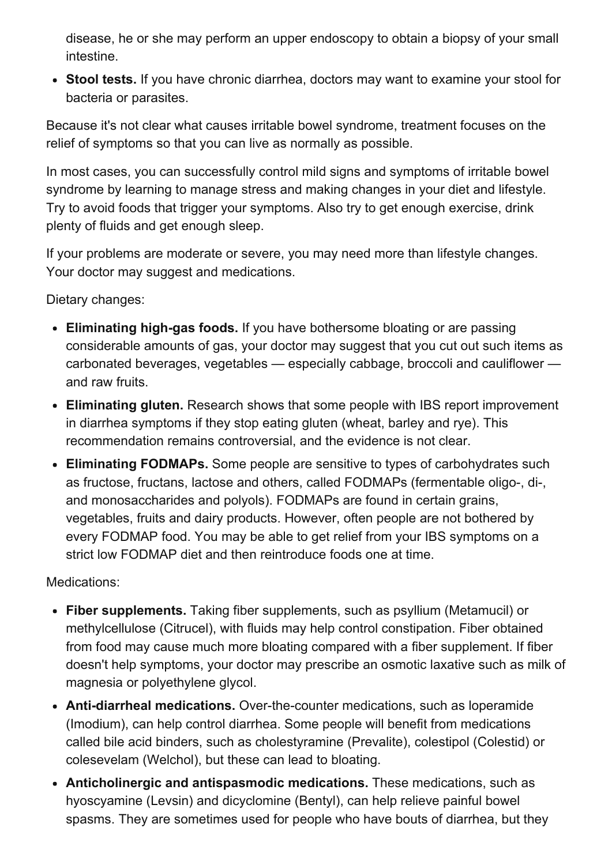disease, he or she may perform an upper endoscopy to obtain a biopsy of your small intestine.

• Stool tests. If you have chronic diarrhea, doctors may want to examine your stool for bacteria or parasites.

Because it's not clear what causes irritable bowel syndrome, treatment focuses on the relief of symptoms so that you can live as normally as possible.

In most cases, you can successfully control mild signs and symptoms of irritable bowel syndrome by learning to manage stress and making changes in your diet and lifestyle. Try to avoid foods that trigger your symptoms. Also try to get enough exercise, drink plenty of fluids and get enough sleep.

If your problems are moderate or severe, you may need more than lifestyle changes. Your doctor may suggest and medications.

Dietary changes:

- Eliminating high-gas foods. If you have bothersome bloating or are passing considerable amounts of gas, your doctor may suggest that you cut out such items as carbonated beverages, vegetables — especially cabbage, broccoli and cauliflower and raw fruits.
- Eliminating gluten. Research shows that some people with IBS report improvement in diarrhea symptoms if they stop eating gluten (wheat, barley and rye). This recommendation remains controversial, and the evidence is not clear.
- Eliminating FODMAPs. Some people are sensitive to types of carbohydrates such as fructose, fructans, lactose and others, called FODMAPs (fermentable oligo-, di-, and monosaccharides and polyols). FODMAPs are found in certain grains, vegetables, fruits and dairy products. However, often people are not bothered by every FODMAP food. You may be able to get relief from your IBS symptoms on a strict low FODMAP diet and then reintroduce foods one at time.

Medications:

- Fiber supplements. Taking fiber supplements, such as psyllium (Metamucil) or methylcellulose (Citrucel), with fluids may help control constipation. Fiber obtained from food may cause much more bloating compared with a fiber supplement. If fiber doesn't help symptoms, your doctor may prescribe an osmotic laxative such as milk of magnesia or polyethylene glycol.
- Anti-diarrheal medications. Over-the-counter medications, such as loperamide (Imodium), can help control diarrhea. Some people will benefit from medications called bile acid binders, such as cholestyramine (Prevalite), colestipol (Colestid) or colesevelam (Welchol), but these can lead to bloating.
- Anticholinergic and antispasmodic medications. These medications, such as hyoscyamine (Levsin) and dicyclomine (Bentyl), can help relieve painful bowel spasms. They are sometimes used for people who have bouts of diarrhea, but they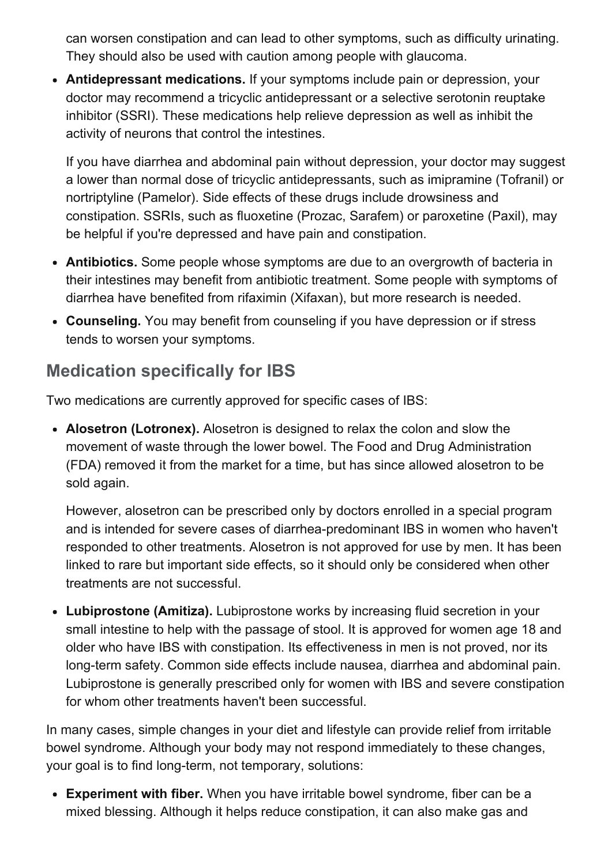can worsen constipation and can lead to other symptoms, such as difficulty urinating. They should also be used with caution among people with glaucoma.

Antidepressant medications. If your symptoms include pain or depression, your doctor may recommend a tricyclic antidepressant or a selective serotonin reuptake inhibitor (SSRI). These medications help relieve depression as well as inhibit the activity of neurons that control the intestines.

If you have diarrhea and abdominal pain without depression, your doctor may suggest a lower than normal dose of tricyclic antidepressants, such as imipramine (Tofranil) or nortriptyline (Pamelor). Side effects of these drugs include drowsiness and constipation. SSRIs, such as fluoxetine (Prozac, Sarafem) or paroxetine (Paxil), may be helpful if you're depressed and have pain and constipation.

- Antibiotics. Some people whose symptoms are due to an overgrowth of bacteria in their intestines may benefit from antibiotic treatment. Some people with symptoms of diarrhea have benefited from rifaximin (Xifaxan), but more research is needed.
- Counseling. You may benefit from counseling if you have depression or if stress tends to worsen your symptoms.

# Medication specifically for IBS

Two medications are currently approved for specific cases of IBS:

• Alosetron (Lotronex). Alosetron is designed to relax the colon and slow the movement of waste through the lower bowel. The Food and Drug Administration (FDA) removed it from the market for a time, but has since allowed alosetron to be sold again.

However, alosetron can be prescribed only by doctors enrolled in a special program and is intended for severe cases of diarrhea-predominant IBS in women who haven't responded to other treatments. Alosetron is not approved for use by men. It has been linked to rare but important side effects, so it should only be considered when other treatments are not successful.

• Lubiprostone (Amitiza). Lubiprostone works by increasing fluid secretion in your small intestine to help with the passage of stool. It is approved for women age 18 and older who have IBS with constipation. Its effectiveness in men is not proved, nor its long-term safety. Common side effects include nausea, diarrhea and abdominal pain. Lubiprostone is generally prescribed only for women with IBS and severe constipation for whom other treatments haven't been successful.

In many cases, simple changes in your diet and lifestyle can provide relief from irritable bowel syndrome. Although your body may not respond immediately to these changes, your goal is to find long-term, not temporary, solutions:

Experiment with fiber. When you have irritable bowel syndrome, fiber can be a mixed blessing. Although it helps reduce constipation, it can also make gas and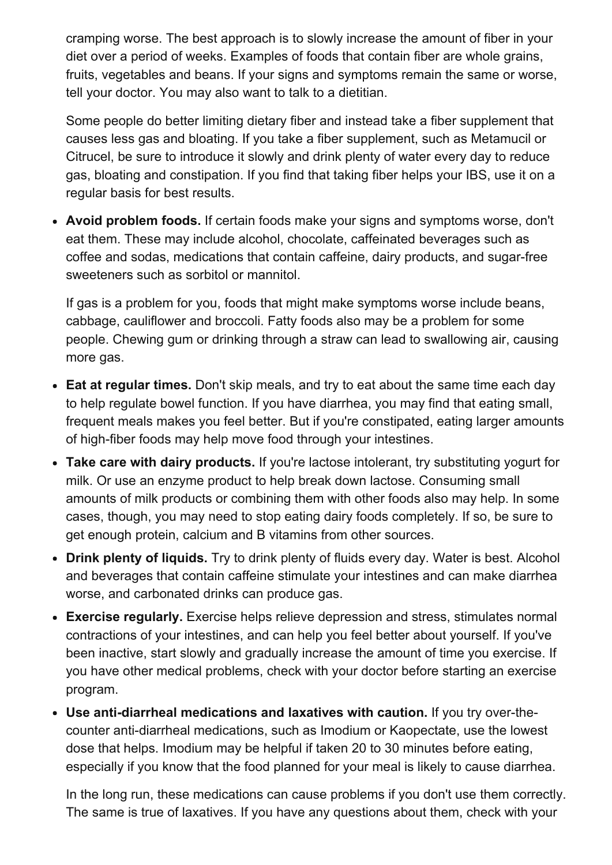cramping worse. The best approach is to slowly increase the amount of fiber in your diet over a period of weeks. Examples of foods that contain fiber are whole grains, fruits, vegetables and beans. If your signs and symptoms remain the same or worse, tell your doctor. You may also want to talk to a dietitian.

Some people do better limiting dietary fiber and instead take a fiber supplement that causes less gas and bloating. If you take a fiber supplement, such as Metamucil or Citrucel, be sure to introduce it slowly and drink plenty of water every day to reduce gas, bloating and constipation. If you find that taking fiber helps your IBS, use it on a regular basis for best results.

• Avoid problem foods. If certain foods make your signs and symptoms worse, don't eat them. These may include alcohol, chocolate, caffeinated beverages such as coffee and sodas, medications that contain caffeine, dairy products, and sugar-free sweeteners such as sorbitol or mannitol.

If gas is a problem for you, foods that might make symptoms worse include beans, cabbage, cauliflower and broccoli. Fatty foods also may be a problem for some people. Chewing gum or drinking through a straw can lead to swallowing air, causing more gas.

- Eat at regular times. Don't skip meals, and try to eat about the same time each day to help regulate bowel function. If you have diarrhea, you may find that eating small, frequent meals makes you feel better. But if you're constipated, eating larger amounts of high-fiber foods may help move food through your intestines.
- Take care with dairy products. If you're lactose intolerant, try substituting yogurt for milk. Or use an enzyme product to help break down lactose. Consuming small amounts of milk products or combining them with other foods also may help. In some cases, though, you may need to stop eating dairy foods completely. If so, be sure to get enough protein, calcium and B vitamins from other sources.
- Drink plenty of liquids. Try to drink plenty of fluids every day. Water is best. Alcohol and beverages that contain caffeine stimulate your intestines and can make diarrhea worse, and carbonated drinks can produce gas.
- Exercise regularly. Exercise helps relieve depression and stress, stimulates normal contractions of your intestines, and can help you feel better about yourself. If you've been inactive, start slowly and gradually increase the amount of time you exercise. If you have other medical problems, check with your doctor before starting an exercise program.
- Use anti-diarrheal medications and laxatives with caution. If you try over-thecounter anti-diarrheal medications, such as Imodium or Kaopectate, use the lowest dose that helps. Imodium may be helpful if taken 20 to 30 minutes before eating, especially if you know that the food planned for your meal is likely to cause diarrhea.

In the long run, these medications can cause problems if you don't use them correctly. The same is true of laxatives. If you have any questions about them, check with your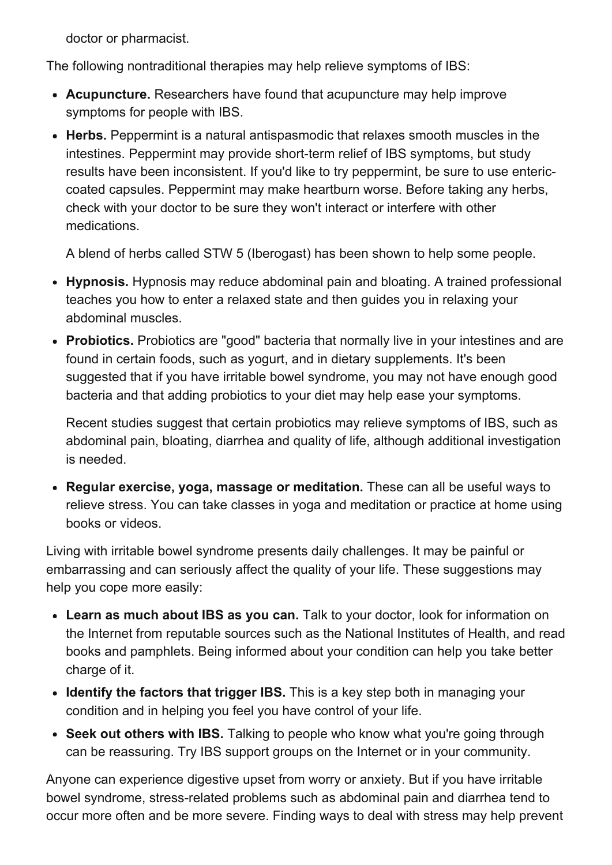doctor or pharmacist.

The following nontraditional therapies may help relieve symptoms of IBS:

- Acupuncture. Researchers have found that acupuncture may help improve symptoms for people with IBS.
- Herbs. Peppermint is a natural antispasmodic that relaxes smooth muscles in the intestines. Peppermint may provide short-term relief of IBS symptoms, but study results have been inconsistent. If you'd like to try peppermint, be sure to use entericcoated capsules. Peppermint may make heartburn worse. Before taking any herbs, check with your doctor to be sure they won't interact or interfere with other medications.

A blend of herbs called STW 5 (Iberogast) has been shown to help some people.

- Hypnosis. Hypnosis may reduce abdominal pain and bloating. A trained professional teaches you how to enter a relaxed state and then guides you in relaxing your abdominal muscles.
- Probiotics. Probiotics are "good" bacteria that normally live in your intestines and are found in certain foods, such as yogurt, and in dietary supplements. It's been suggested that if you have irritable bowel syndrome, you may not have enough good bacteria and that adding probiotics to your diet may help ease your symptoms.

Recent studies suggest that certain probiotics may relieve symptoms of IBS, such as abdominal pain, bloating, diarrhea and quality of life, although additional investigation is needed.

• Regular exercise, yoga, massage or meditation. These can all be useful ways to relieve stress. You can take classes in yoga and meditation or practice at home using books or videos.

Living with irritable bowel syndrome presents daily challenges. It may be painful or embarrassing and can seriously affect the quality of your life. These suggestions may help you cope more easily:

- Learn as much about IBS as you can. Talk to your doctor, look for information on the Internet from reputable sources such as the National Institutes of Health, and read books and pamphlets. Being informed about your condition can help you take better charge of it.
- Identify the factors that trigger IBS. This is a key step both in managing your condition and in helping you feel you have control of your life.
- Seek out others with IBS. Talking to people who know what you're going through can be reassuring. Try IBS support groups on the Internet or in your community.

Anyone can experience digestive upset from worry or anxiety. But if you have irritable bowel syndrome, stress-related problems such as abdominal pain and diarrhea tend to occur more often and be more severe. Finding ways to deal with stress may help prevent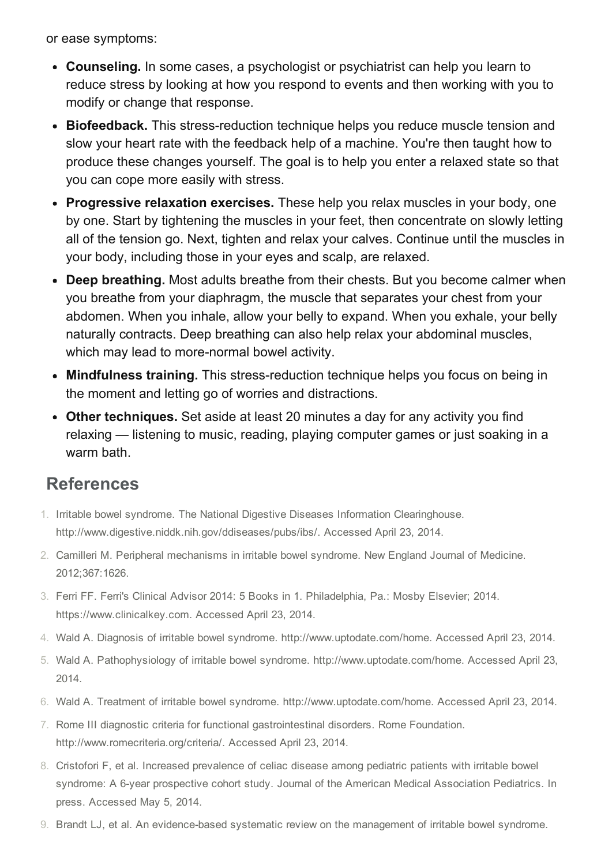or ease symptoms:

- Counseling. In some cases, a psychologist or psychiatrist can help you learn to reduce stress by looking at how you respond to events and then working with you to modify or change that response.
- Biofeedback. This stress-reduction technique helps you reduce muscle tension and slow your heart rate with the feedback help of a machine. You're then taught how to produce these changes yourself. The goal is to help you enter a relaxed state so that you can cope more easily with stress.
- Progressive relaxation exercises. These help you relax muscles in your body, one by one. Start by tightening the muscles in your feet, then concentrate on slowly letting all of the tension go. Next, tighten and relax your calves. Continue until the muscles in your body, including those in your eyes and scalp, are relaxed.
- Deep breathing. Most adults breathe from their chests. But you become calmer when you breathe from your diaphragm, the muscle that separates your chest from your abdomen. When you inhale, allow your belly to expand. When you exhale, your belly naturally contracts. Deep breathing can also help relax your abdominal muscles, which may lead to more-normal bowel activity.
- Mindfulness training. This stress-reduction technique helps you focus on being in the moment and letting go of worries and distractions.
- Other techniques. Set aside at least 20 minutes a day for any activity you find relaxing — listening to music, reading, playing computer games or just soaking in a warm bath.

## References

- 1. Irritable bowel syndrome. The National Digestive Diseases Information Clearinghouse. http://www.digestive.niddk.nih.gov/ddiseases/pubs/ibs/. Accessed April 23, 2014.
- 2. Camilleri M. Peripheral mechanisms in irritable bowel syndrome. New England Journal of Medicine. 2012;367:1626.
- 3. Ferri FF. Ferri's Clinical Advisor 2014: 5 Books in 1. Philadelphia, Pa.: Mosby Elsevier; 2014. https://www.clinicalkey.com. Accessed April 23, 2014.
- 4. Wald A. Diagnosis of irritable bowel syndrome. http://www.uptodate.com/home. Accessed April 23, 2014.
- 5. Wald A. Pathophysiology of irritable bowel syndrome. http://www.uptodate.com/home. Accessed April 23, 2014.
- 6. Wald A. Treatment of irritable bowel syndrome. http://www.uptodate.com/home. Accessed April 23, 2014.
- 7. Rome III diagnostic criteria for functional gastrointestinal disorders. Rome Foundation. http://www.romecriteria.org/criteria/. Accessed April 23, 2014.
- 8. Cristofori F, et al. Increased prevalence of celiac disease among pediatric patients with irritable bowel syndrome: A 6-year prospective cohort study. Journal of the American Medical Association Pediatrics. In press. Accessed May 5, 2014.
- 9. Brandt LJ, et al. An evidence-based systematic review on the management of irritable bowel syndrome.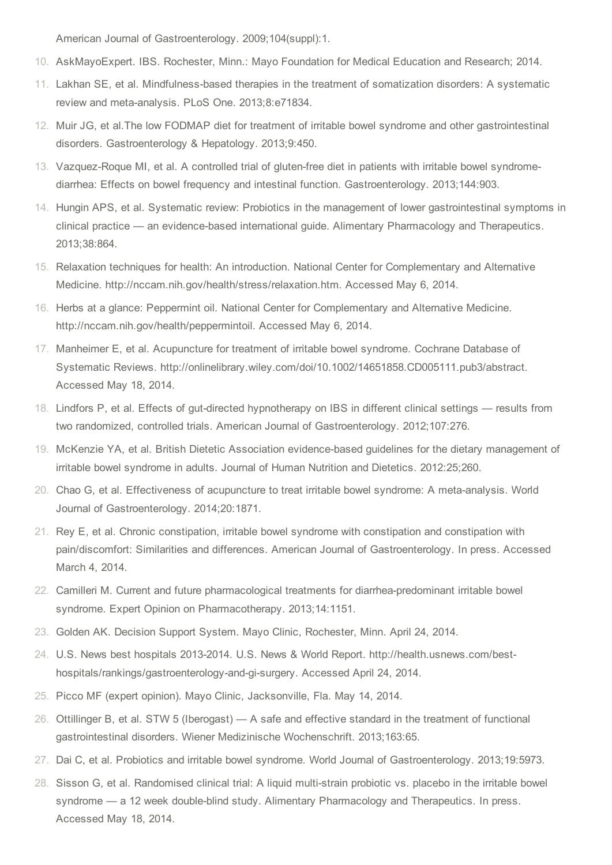American Journal of Gastroenterology. 2009;104(suppl):1.

- 10. AskMayoExpert. IBS. Rochester, Minn.: Mayo Foundation for Medical Education and Research; 2014.
- 11. Lakhan SE, et al. Mindfulness-based therapies in the treatment of somatization disorders: A systematic review and meta-analysis. PLoS One. 2013;8:e71834.
- 12. Muir JG, et al.The low FODMAP diet for treatment of irritable bowel syndrome and other gastrointestinal disorders. Gastroenterology & Hepatology. 2013;9:450.
- 13. Vazquez-Roque MI, et al. A controlled trial of gluten-free diet in patients with irritable bowel syndromediarrhea: Effects on bowel frequency and intestinal function. Gastroenterology. 2013;144:903.
- 14. Hungin APS, et al. Systematic review: Probiotics in the management of lower gastrointestinal symptoms in clinical practice — an evidence-based international guide. Alimentary Pharmacology and Therapeutics. 2013;38:864.
- 15. Relaxation techniques for health: An introduction. National Center for Complementary and Alternative Medicine. http://nccam.nih.gov/health/stress/relaxation.htm. Accessed May 6, 2014.
- 16. Herbs at a glance: Peppermint oil. National Center for Complementary and Alternative Medicine. http://nccam.nih.gov/health/peppermintoil. Accessed May 6, 2014.
- 17. Manheimer E, et al. Acupuncture for treatment of irritable bowel syndrome. Cochrane Database of Systematic Reviews. http://onlinelibrary.wiley.com/doi/10.1002/14651858.CD005111.pub3/abstract. Accessed May 18, 2014.
- 18. Lindfors P, et al. Effects of gut-directed hypnotherapy on IBS in different clinical settings results from two randomized, controlled trials. American Journal of Gastroenterology. 2012;107:276.
- 19. McKenzie YA, et al. British Dietetic Association evidence-based guidelines for the dietary management of irritable bowel syndrome in adults. Journal of Human Nutrition and Dietetics. 2012:25;260.
- 20. Chao G, et al. Effectiveness of acupuncture to treat irritable bowel syndrome: A meta-analysis. World Journal of Gastroenterology. 2014;20:1871.
- 21. Rey E, et al. Chronic constipation, irritable bowel syndrome with constipation and constipation with pain/discomfort: Similarities and differences. American Journal of Gastroenterology. In press. Accessed March 4, 2014.
- 22. Camilleri M. Current and future pharmacological treatments for diarrhea-predominant irritable bowel syndrome. Expert Opinion on Pharmacotherapy. 2013;14:1151.
- 23. Golden AK. Decision Support System. Mayo Clinic, Rochester, Minn. April 24, 2014.
- 24. U.S. News best hospitals 2013-2014. U.S. News & World Report. http://health.usnews.com/besthospitals/rankings/gastroenterology-and-gi-surgery. Accessed April 24, 2014.
- 25. Picco MF (expert opinion). Mayo Clinic, Jacksonville, Fla. May 14, 2014.
- 26. Ottillinger B, et al. STW 5 (Iberogast) A safe and effective standard in the treatment of functional gastrointestinal disorders. Wiener Medizinische Wochenschrift. 2013;163:65.
- 27. Dai C, et al. Probiotics and irritable bowel syndrome. World Journal of Gastroenterology. 2013;19:5973.
- 28. Sisson G, et al. Randomised clinical trial: A liquid multi-strain probiotic vs. placebo in the irritable bowel syndrome — a 12 week double-blind study. Alimentary Pharmacology and Therapeutics. In press. Accessed May 18, 2014.